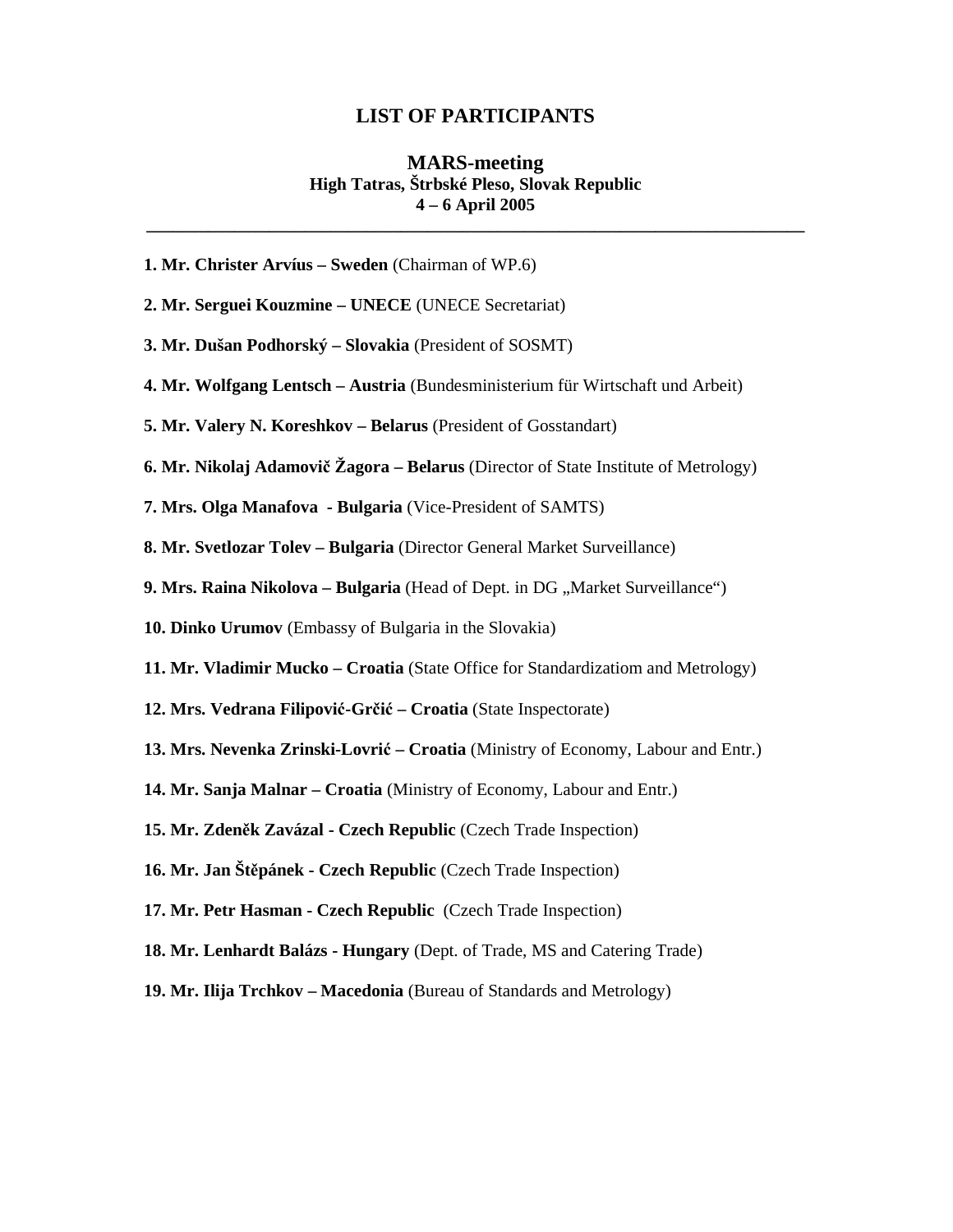## **LIST OF PARTICIPANTS**

## **MARS-meeting High Tatras, Štrbské Pleso, Slovak Republic 4 – 6 April 2005**

**\_\_\_\_\_\_\_\_\_\_\_\_\_\_\_\_\_\_\_\_\_\_\_\_\_\_\_\_\_\_\_\_\_\_\_\_\_\_\_\_\_\_\_\_\_\_\_\_\_\_\_\_\_\_\_\_\_\_\_\_\_\_\_\_\_\_\_\_\_\_\_\_\_\_\_** 

- **1. Mr. Christer Arvíus Sweden** (Chairman of WP.6)
- **2. Mr. Serguei Kouzmine UNECE** (UNECE Secretariat)
- **3. Mr. Dušan Podhorský Slovakia** (President of SOSMT)
- **4. Mr. Wolfgang Lentsch Austria** (Bundesministerium für Wirtschaft und Arbeit)
- **5. Mr. Valery N. Koreshkov Belarus** (President of Gosstandart)
- **6. Mr. Nikolaj Adamovi**č **Žagora Belarus** (Director of State Institute of Metrology)
- **7. Mrs. Olga Manafova Bulgaria** (Vice-President of SAMTS)
- **8. Mr. Svetlozar Tolev Bulgaria** (Director General Market Surveillance)
- **9. Mrs. Raina Nikolova Bulgaria** (Head of Dept. in DG, Market Surveillance")
- **10. Dinko Urumov** (Embassy of Bulgaria in the Slovakia)
- **11. Mr. Vladimir Mucko Croatia** (State Office for Standardizatiom and Metrology)
- **12. Mrs. Vedrana Filipovi**ć**-Gr**č**i**ć **Croatia** (State Inspectorate)
- **13. Mrs. Nevenka Zrinski-Lovri**ć **Croatia** (Ministry of Economy, Labour and Entr.)
- **14. Mr. Sanja Malnar Croatia** (Ministry of Economy, Labour and Entr.)
- **15. Mr. Zden**ě**k Zavázal Czech Republic** (Czech Trade Inspection)
- **16. Mr. Jan Št**ě**pánek Czech Republic** (Czech Trade Inspection)
- **17. Mr. Petr Hasman Czech Republic** (Czech Trade Inspection)
- **18. Mr. Lenhardt Balázs Hungary** (Dept. of Trade, MS and Catering Trade)
- **19. Mr. Ilija Trchkov Macedonia** (Bureau of Standards and Metrology)